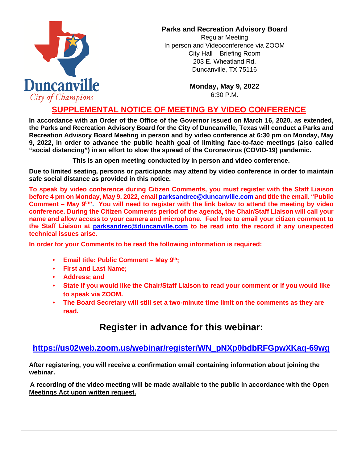

### **Parks and Recreation Advisory Board**

Regular Meeting In person and Videoconference via ZOOM City Hall – Briefing Room 203 E. Wheatland Rd. Duncanville, TX 75116

> **Monday, May 9, 2022** 6:30 P.M.

## **SUPPLEMENTAL NOTICE OF MEETING BY VIDEO CONFERENCE**

**In accordance with an Order of the Office of the Governor issued on March 16, 2020, as extended, the Parks and Recreation Advisory Board for the City of Duncanville, Texas will conduct a Parks and Recreation Advisory Board Meeting in person and by video conference at 6:30 pm on Monday, May 9, 2022, in order to advance the public health goal of limiting face-to-face meetings (also called "social distancing") in an effort to slow the spread of the Coronavirus (COVID-19) pandemic.** 

**This is an open meeting conducted by in person and video conference.**

**Due to limited seating, persons or participants may attend by video conference in order to maintain safe social distance as provided in this notice.**

**To speak by video conference during Citizen Comments, you must register with the Staff Liaison before 4 pm on Monday, May 9, 2022, email parksandrec@duncanville.com and title the email. "Public**  Comment – May 9<sup>th</sup>". You will need to register with the link below to attend the meeting by video **conference. During the Citizen Comments period of the agenda, the Chair/Staff Liaison will call your name and allow access to your camera and microphone. Feel free to email your citizen comment to the Staff Liaison at [parksandrec@duncanville.com](mailto:parksandrec@duncanville.com) to be read into the record if any unexpected technical issues arise.**

**In order for your Comments to be read the following information is required:**

- **Email title: Public Comment – May 9th;**
- **First and Last Name;**
- **Address; and**
- **State if you would like the Chair/Staff Liaison to read your comment or if you would like to speak via ZOOM.**
- **The Board Secretary will still set a two-minute time limit on the comments as they are read.**

# **Register in advance for this webinar:**

## **[https://us02web.zoom.us/webinar/register/WN\\_pNXp0bdbRFGpwXKaq-69wg](https://us02web.zoom.us/webinar/register/WN_pNXp0bdbRFGpwXKaq-69wg)**

**After registering, you will receive a confirmation email containing information about joining the webinar.**

**A recording of the video meeting will be made available to the public in accordance with the Open Meetings Act upon written request.**